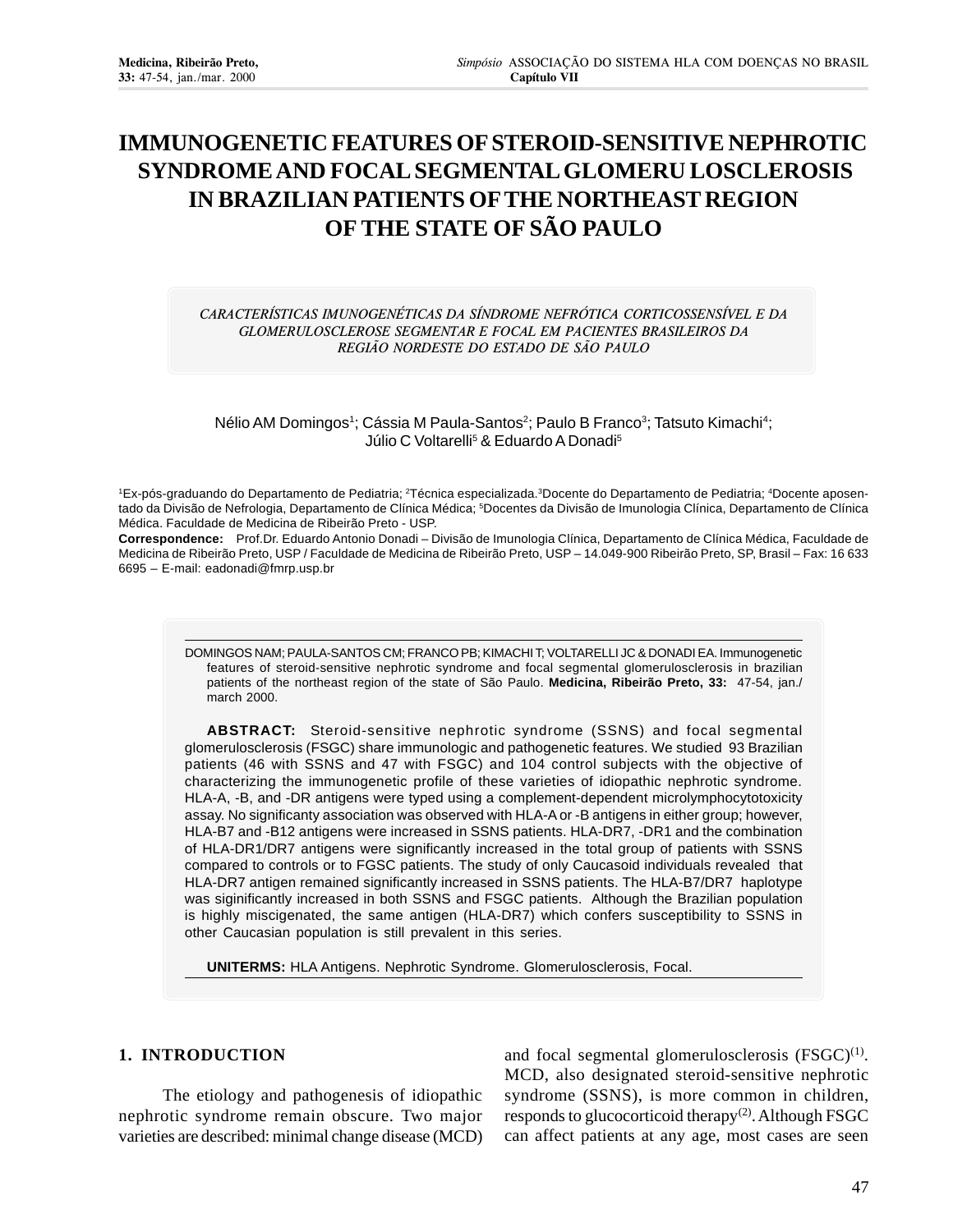# **IMMUNOGENETIC FEATURES OF STEROID-SENSITIVE NEPHROTIC SYNDROME AND FOCAL SEGMENTAL GLOMERU LOSCLEROSIS IN BRAZILIAN PATIENTS OF THE NORTHEAST REGION OF THE STATE OF SÃO PAULO**

CARACTERÍSTICAS IMUNOGENÉTICAS DA SÍNDROME NEFRÓTICA CORTICOSSENSÍVEL E DA GLOMERULOSCLEROSE SEGMENTAR E FOCAL EM PACIENTES BRASILEIROS DA REGIÃO NORDESTE DO ESTADO DE SÃO PAULO

Nélio AM Domingos<sup>1</sup>; Cássia M Paula-Santos<sup>2</sup>; Paulo B Franco<sup>3</sup>; Tatsuto Kimachi<sup>4</sup>; Júlio C Voltarelli<sup>5</sup> & Eduardo A Donadi<sup>5</sup>

1Ex-pós-graduando do Departamento de Pediatria; <sup>2</sup>Técnica especializada.<sup>3</sup>Docente do Departamento de Pediatria; <sup>4</sup>Docente aposentado da Divisão de Nefrologia, Departamento de Clínica Médica; <sup>s</sup>Docentes da Divisão de Imunologia Clínica, Departamento de Clínica Médica. Faculdade de Medicina de Ribeirão Preto - USP.

**Correspondence:** Prof.Dr. Eduardo Antonio Donadi – Divisão de Imunologia Clínica, Departamento de Clínica Médica, Faculdade de Medicina de Ribeirão Preto, USP / Faculdade de Medicina de Ribeirão Preto, USP – 14.049-900 Ribeirão Preto, SP, Brasil – Fax: 16 633 6695 – E-mail: eadonadi@fmrp.usp.br

DOMINGOS NAM; PAULA-SANTOS CM; FRANCO PB; KIMACHI T; VOLTARELLI JC & DONADI EA. Immunogenetic features of steroid-sensitive nephrotic syndrome and focal segmental glomerulosclerosis in brazilian patients of the northeast region of the state of São Paulo. **Medicina, Ribeirão Preto, 33:** 47-54, jan./ march 2000.

**ABSTRACT:** Steroid-sensitive nephrotic syndrome (SSNS) and focal segmental glomerulosclerosis (FSGC) share immunologic and pathogenetic features. We studied 93 Brazilian patients (46 with SSNS and 47 with FSGC) and 104 control subjects with the objective of characterizing the immunogenetic profile of these varieties of idiopathic nephrotic syndrome. HLA-A, -B, and -DR antigens were typed using a complement-dependent microlymphocytotoxicity assay. No significanty association was observed with HLA-A or -B antigens in either group; however, HLA-B7 and -B12 antigens were increased in SSNS patients. HLA-DR7, -DR1 and the combination of HLA-DR1/DR7 antigens were significantly increased in the total group of patients with SSNS compared to controls or to FGSC patients. The study of only Caucasoid individuals revealed that HLA-DR7 antigen remained significantly increased in SSNS patients. The HLA-B7/DR7 haplotype was siginificantly increased in both SSNS and FSGC patients. Although the Brazilian population is highly miscigenated, the same antigen (HLA-DR7) which confers susceptibility to SSNS in other Caucasian population is still prevalent in this series.

**UNITERMS:** HLA Antigens. Nephrotic Syndrome. Glomerulosclerosis, Focal.

## **1. INTRODUCTION**

The etiology and pathogenesis of idiopathic nephrotic syndrome remain obscure. Two major varieties are described: minimal change disease (MCD) and focal segmental glomerulosclerosis  $(FSGC)^{(1)}$ . MCD, also designated steroid-sensitive nephrotic syndrome (SSNS), is more common in children, responds to glucocorticoid therapy $(2)$ . Although FSGC can affect patients at any age, most cases are seen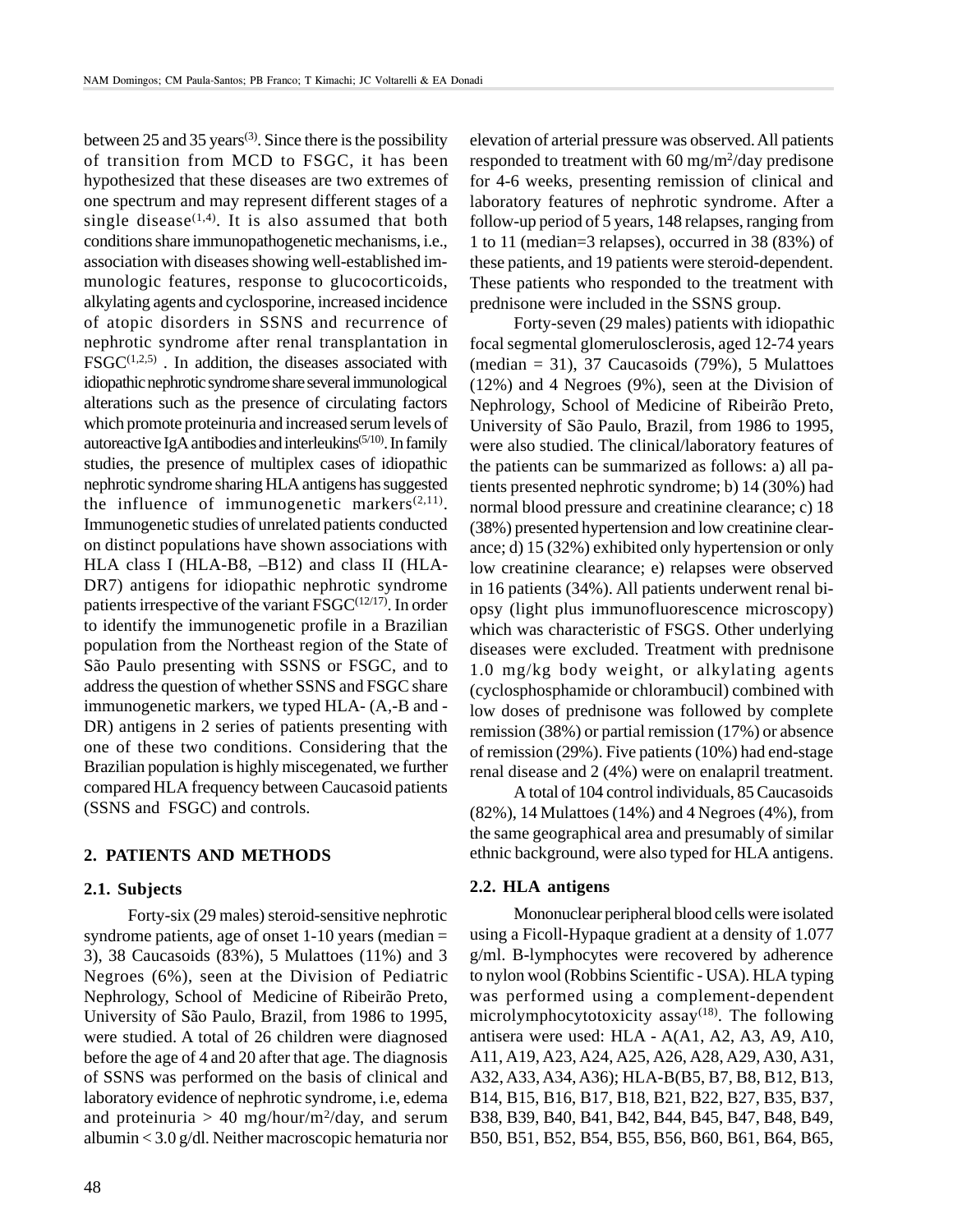between 25 and 35 years<sup>(3)</sup>. Since there is the possibility of transition from MCD to FSGC, it has been hypothesized that these diseases are two extremes of one spectrum and may represent different stages of a single disease<sup> $(1,4)$ </sup>. It is also assumed that both conditions share immunopathogenetic mechanisms, i.e., association with diseases showing well-established immunologic features, response to glucocorticoids, alkylating agents and cyclosporine, increased incidence of atopic disorders in SSNS and recurrence of nephrotic syndrome after renal transplantation in  $FSGC^{(1,2,5)}$ . In addition, the diseases associated with idiopathic nephrotic syndrome share several immunological alterations such as the presence of circulating factors which promote proteinuria and increased serum levels of autoreactive IgA antibodies and interleukins<sup> $(5/10)$ </sup>. In family studies, the presence of multiplex cases of idiopathic nephrotic syndrome sharing HLA antigens has suggested the influence of immunogenetic markers $(2,11)$ . Immunogenetic studies of unrelated patients conducted on distinct populations have shown associations with HLA class I (HLA-B8, –B12) and class II (HLA-DR7) antigens for idiopathic nephrotic syndrome patients irrespective of the variant  $FSGC^{(12/17)}$ . In order to identify the immunogenetic profile in a Brazilian population from the Northeast region of the State of São Paulo presenting with SSNS or FSGC, and to address the question of whether SSNS and FSGC share immunogenetic markers, we typed HLA- (A,-B and - DR) antigens in 2 series of patients presenting with one of these two conditions. Considering that the Brazilian population is highly miscegenated, we further compared HLA frequency between Caucasoid patients (SSNS and FSGC) and controls.

# **2. PATIENTS AND METHODS**

### **2.1. Subjects**

Forty-six (29 males) steroid-sensitive nephrotic syndrome patients, age of onset  $1-10$  years (median  $=$ 3), 38 Caucasoids (83%), 5 Mulattoes (11%) and 3 Negroes (6%), seen at the Division of Pediatric Nephrology, School of Medicine of Ribeirão Preto, University of São Paulo, Brazil, from 1986 to 1995, were studied. A total of 26 children were diagnosed before the age of 4 and 20 after that age. The diagnosis of SSNS was performed on the basis of clinical and laboratory evidence of nephrotic syndrome, i.e, edema and proteinuria  $> 40$  mg/hour/m<sup>2</sup>/day, and serum albumin < 3.0 g/dl. Neither macroscopic hematuria nor elevation of arterial pressure was observed. All patients responded to treatment with 60 mg/m<sup>2</sup>/day predisone for 4-6 weeks, presenting remission of clinical and laboratory features of nephrotic syndrome. After a follow-up period of 5 years, 148 relapses, ranging from 1 to 11 (median=3 relapses), occurred in 38 (83%) of these patients, and 19 patients were steroid-dependent. These patients who responded to the treatment with prednisone were included in the SSNS group.

Forty-seven (29 males) patients with idiopathic focal segmental glomerulosclerosis, aged 12-74 years (median  $= 31$ ), 37 Caucasoids (79%), 5 Mulattoes (12%) and 4 Negroes (9%), seen at the Division of Nephrology, School of Medicine of Ribeirão Preto, University of São Paulo, Brazil, from 1986 to 1995, were also studied. The clinical/laboratory features of the patients can be summarized as follows: a) all patients presented nephrotic syndrome; b) 14 (30%) had normal blood pressure and creatinine clearance; c) 18 (38%) presented hypertension and low creatinine clearance; d) 15 (32%) exhibited only hypertension or only low creatinine clearance; e) relapses were observed in 16 patients (34%). All patients underwent renal biopsy (light plus immunofluorescence microscopy) which was characteristic of FSGS. Other underlying diseases were excluded. Treatment with prednisone 1.0 mg/kg body weight, or alkylating agents (cyclosphosphamide or chlorambucil) combined with low doses of prednisone was followed by complete remission (38%) or partial remission (17%) or absence of remission (29%). Five patients (10%) had end-stage renal disease and 2 (4%) were on enalapril treatment.

A total of 104 control individuals, 85 Caucasoids (82%), 14 Mulattoes (14%) and 4 Negroes (4%), from the same geographical area and presumably of similar ethnic background, were also typed for HLA antigens.

#### **2.2. HLA antigens**

Mononuclear peripheral blood cells were isolated using a Ficoll-Hypaque gradient at a density of 1.077 g/ml. B-lymphocytes were recovered by adherence to nylon wool (Robbins Scientific - USA). HLA typing was performed using a complement-dependent microlymphocytotoxicity assay $(18)$ . The following antisera were used: HLA - A(A1, A2, A3, A9, A10, A11, A19, A23, A24, A25, A26, A28, A29, A30, A31, A32, A33, A34, A36); HLA-B(B5, B7, B8, B12, B13, B14, B15, B16, B17, B18, B21, B22, B27, B35, B37, B38, B39, B40, B41, B42, B44, B45, B47, B48, B49, B50, B51, B52, B54, B55, B56, B60, B61, B64, B65,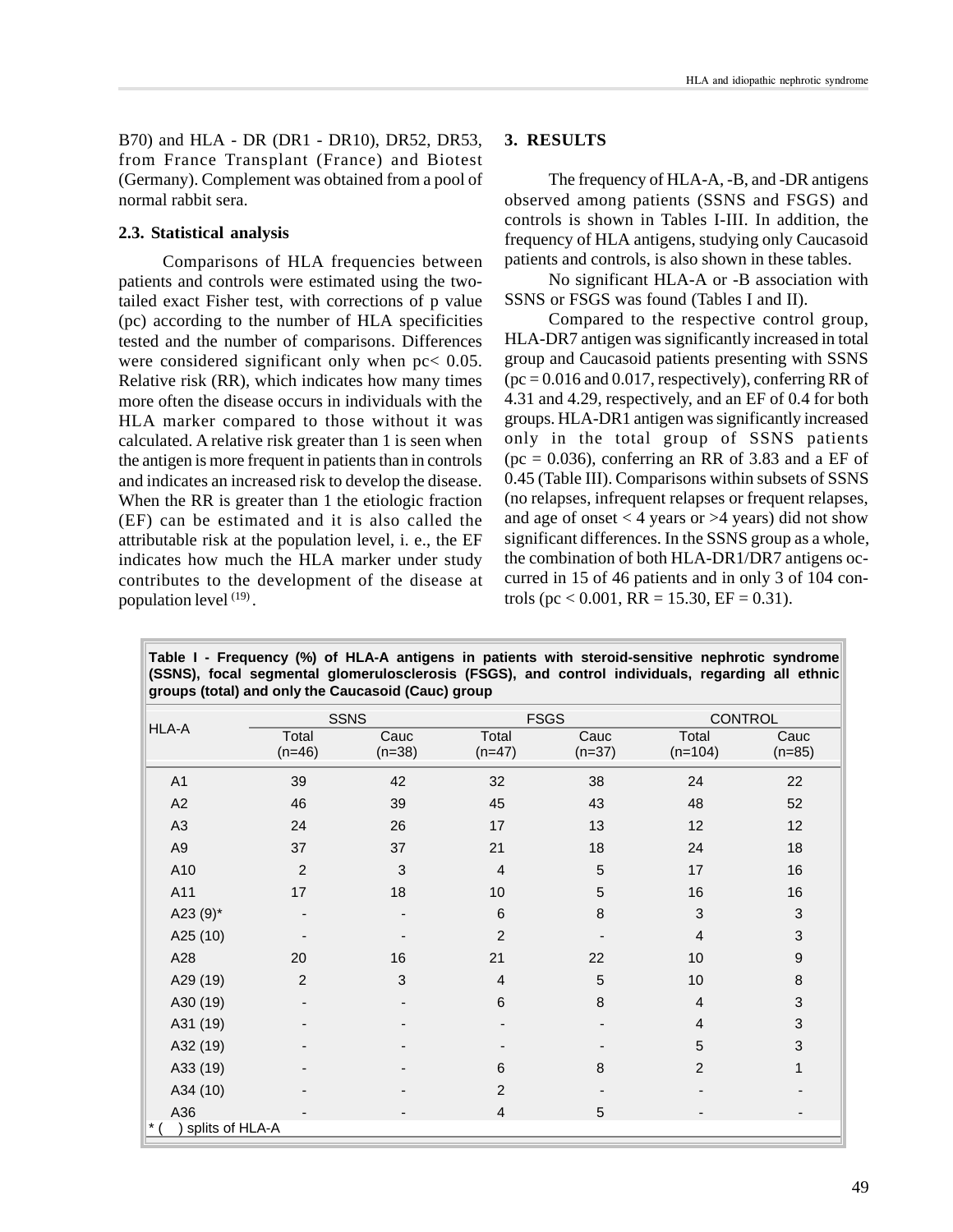B70) and HLA - DR (DR1 - DR10), DR52, DR53, from France Transplant (France) and Biotest (Germany). Complement was obtained from a pool of normal rabbit sera.

## **2.3. Statistical analysis**

Comparisons of HLA frequencies between patients and controls were estimated using the twotailed exact Fisher test, with corrections of p value (pc) according to the number of HLA specificities tested and the number of comparisons. Differences were considered significant only when pc< 0.05. Relative risk (RR), which indicates how many times more often the disease occurs in individuals with the HLA marker compared to those without it was calculated. A relative risk greater than 1 is seen when the antigen is more frequent in patients than in controls and indicates an increased risk to develop the disease. When the RR is greater than 1 the etiologic fraction (EF) can be estimated and it is also called the attributable risk at the population level, i. e., the EF indicates how much the HLA marker under study contributes to the development of the disease at population level  $(19)$ .

# **3. RESULTS**

The frequency of HLA-A, -B, and -DR antigens observed among patients (SSNS and FSGS) and controls is shown in Tables I-III. In addition, the frequency of HLA antigens, studying only Caucasoid patients and controls, is also shown in these tables.

No significant HLA-A or -B association with SSNS or FSGS was found (Tables I and II).

Compared to the respective control group, HLA-DR7 antigen was significantly increased in total group and Caucasoid patients presenting with SSNS  $pc = 0.016$  and 0.017, respectively), conferring RR of 4.31 and 4.29, respectively, and an EF of 0.4 for both groups. HLA-DR1 antigen was significantly increased only in the total group of SSNS patients  $(pc = 0.036)$ , conferring an RR of 3.83 and a EF of 0.45 (Table III). Comparisons within subsets of SSNS (no relapses, infrequent relapses or frequent relapses, and age of onset  $<$  4 years or  $>$  4 years) did not show significant differences. In the SSNS group as a whole, the combination of both HLA-DR1/DR7 antigens occurred in 15 of 46 patients and in only 3 of 104 controls (pc < 0.001, RR = 15.30, EF = 0.31).

|                 | <b>SSNS</b>       |                  | <b>FSGS</b>       |                  | <b>CONTROL</b>     |                           |
|-----------------|-------------------|------------------|-------------------|------------------|--------------------|---------------------------|
| <b>HLA-A</b>    | Total<br>$(n=46)$ | Cauc<br>$(n=38)$ | Total<br>$(n=47)$ | Cauc<br>$(n=37)$ | Total<br>$(n=104)$ | Cauc<br>$(n=85)$          |
| A1              | 39                | 42               | 32                | 38               | 24                 | 22                        |
| A2              | 46                | 39               | 45                | 43               | 48                 | 52                        |
| A <sub>3</sub>  | 24                | 26               | 17                | 13               | 12                 | 12                        |
| A9              | 37                | 37               | 21                | 18               | 24                 | 18                        |
| A10             | $\overline{2}$    | 3                | $\overline{4}$    | 5                | 17                 | 16                        |
| A11             | 17                | 18               | 10                | 5                | 16                 | 16                        |
| A23 $(9)^*$     |                   |                  | $\,6$             | 8                | 3                  | $\ensuremath{\mathsf{3}}$ |
| A25 (10)        |                   |                  | $\overline{2}$    |                  | $\overline{4}$     | $\ensuremath{\mathsf{3}}$ |
| A28             | 20                | 16               | 21                | 22               | 10                 | 9                         |
| A29 (19)        | $\overline{2}$    | 3                | $\overline{4}$    | 5                | 10 <sup>1</sup>    | $\bf 8$                   |
| A30 (19)        |                   |                  | $\,6\,$           | 8                | $\overline{4}$     | $\ensuremath{\mathsf{3}}$ |
| A31 (19)        |                   |                  |                   |                  | $\overline{4}$     | $\ensuremath{\mathsf{3}}$ |
| A32 (19)        |                   |                  |                   |                  | 5                  | $\ensuremath{\mathsf{3}}$ |
| A33 (19)        |                   |                  | 6                 | 8                | $\overline{2}$     | $\mathbf{1}$              |
| A34 (10)        |                   |                  | $\overline{c}$    |                  |                    |                           |
| A36             |                   |                  | $\overline{4}$    | 5                |                    |                           |
| splits of HLA-A |                   |                  |                   |                  |                    |                           |

**Table I - Frequency (%) of HLA-A antigens in patients with steroid-sensitive nephrotic syndrome (SSNS), focal segmental glomerulosclerosis (FSGS), and control individuals, regarding all ethnic groups (total) and only the Caucasoid (Cauc) group**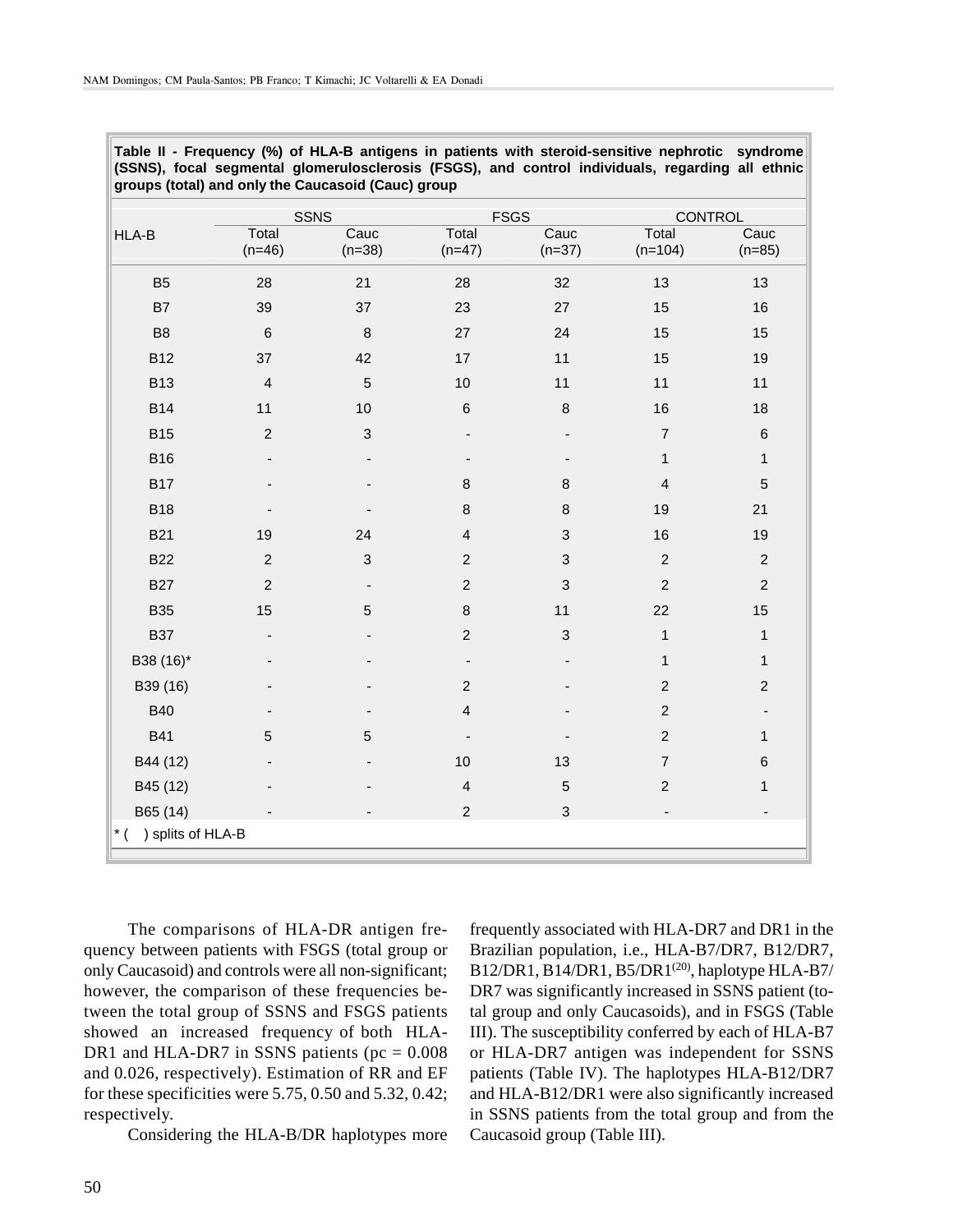| Table II - Frequency (%) of HLA-B antigens in patients with steroid-sensitive nephrotic syndrome |  |
|--------------------------------------------------------------------------------------------------|--|
| (SSNS), focal segmental glomerulosclerosis (FSGS), and control individuals, regarding all ethnic |  |
| groups (total) and only the Caucasoid (Cauc) group                                               |  |

|                                  |                          | <b>SSNS</b>              |                          | <b>FSGS</b>                  | CONTROL                 |                              |
|----------------------------------|--------------------------|--------------------------|--------------------------|------------------------------|-------------------------|------------------------------|
| HLA-B                            | Total<br>$(n=46)$        | Cauc<br>$(n=38)$         | Total<br>$(n=47)$        | Cauc<br>$(n=37)$             | Total<br>$(n=104)$      | Cauc<br>$(n=85)$             |
| B <sub>5</sub>                   | 28                       | 21                       | 28                       | 32                           | 13                      | 13                           |
| B7                               | 39                       | 37                       | 23                       | 27                           | 15                      | 16                           |
| B <sub>8</sub>                   | $\,6\,$                  | $\, 8$                   | 27                       | 24                           | 15                      | 15                           |
| <b>B12</b>                       | 37                       | 42                       | 17                       | 11                           | 15                      | 19                           |
| <b>B13</b>                       | $\overline{4}$           | $\sqrt{5}$               | 10                       | 11                           | 11                      | 11                           |
| <b>B14</b>                       | 11                       | 10                       | $\,$ 6                   | $\bf8$                       | 16                      | 18                           |
| <b>B15</b>                       | $\overline{2}$           | $\mathbf{3}$             | -                        | $\overline{\phantom{0}}$     | $\overline{7}$          | $\,6$                        |
| <b>B16</b>                       | $\overline{\phantom{a}}$ |                          |                          | $\qquad \qquad \blacksquare$ | 1                       | $\mathbf{1}$                 |
| <b>B17</b>                       |                          |                          | $\, 8$                   | $\bf 8$                      | $\overline{\mathbf{4}}$ | 5                            |
| <b>B18</b>                       |                          |                          | 8                        | 8                            | 19                      | 21                           |
| <b>B21</b>                       | 19                       | 24                       | $\overline{4}$           | 3                            | 16                      | 19                           |
| <b>B22</b>                       | $\overline{c}$           | $\mathbf{3}$             | $\sqrt{2}$               | 3                            | $\sqrt{2}$              | $\sqrt{2}$                   |
| <b>B27</b>                       | $\overline{2}$           | $\overline{\phantom{a}}$ | $\overline{c}$           | 3                            | $\overline{c}$          | $\overline{c}$               |
| <b>B35</b>                       | 15                       | $\overline{5}$           | $\bf 8$                  | 11                           | 22                      | 15                           |
| <b>B37</b>                       |                          |                          | $\boldsymbol{2}$         | 3                            | $\mathbf{1}$            | $\mathbf{1}$                 |
| B38 (16)*                        |                          |                          | $\overline{\phantom{m}}$ |                              | $\mathbf{1}$            | $\mathbf{1}$                 |
| B39 (16)                         |                          |                          | $\overline{c}$           |                              | $\overline{c}$          | $\mathbf 2$                  |
| <b>B40</b>                       |                          |                          | $\overline{4}$           |                              | $\overline{c}$          | $\qquad \qquad \blacksquare$ |
| <b>B41</b>                       | $\overline{5}$           | 5                        | $\overline{a}$           |                              | $\overline{c}$          | $\mathbf{1}$                 |
| B44 (12)                         |                          |                          | 10                       | 13                           | $\overline{7}$          | $\,6$                        |
| B45 (12)                         |                          |                          | $\overline{4}$           | $\mathbf 5$                  | $\overline{c}$          | 1                            |
| B65 (14)                         |                          |                          | $\overline{2}$           | 3                            |                         |                              |
| ) splits of HLA-B<br>$\cdot$ * ( |                          |                          |                          |                              |                         |                              |

The comparisons of HLA-DR antigen frequency between patients with FSGS (total group or only Caucasoid) and controls were all non-significant; however, the comparison of these frequencies between the total group of SSNS and FSGS patients showed an increased frequency of both HLA-DR1 and HLA-DR7 in SSNS patients ( $pc = 0.008$ ) and 0.026, respectively). Estimation of RR and EF for these specificities were 5.75, 0.50 and 5.32, 0.42; respectively.

Considering the HLA-B/DR haplotypes more

frequently associated with HLA-DR7 and DR1 in the Brazilian population, i.e., HLA-B7/DR7, B12/DR7, B12/DR1, B14/DR1, B5/DR1<sup>(20)</sup>, haplotype HLA-B7/ DR7 was significantly increased in SSNS patient (total group and only Caucasoids), and in FSGS (Table III). The susceptibility conferred by each of HLA-B7 or HLA-DR7 antigen was independent for SSNS patients (Table IV). The haplotypes HLA-B12/DR7 and HLA-B12/DR1 were also significantly increased in SSNS patients from the total group and from the Caucasoid group (Table III).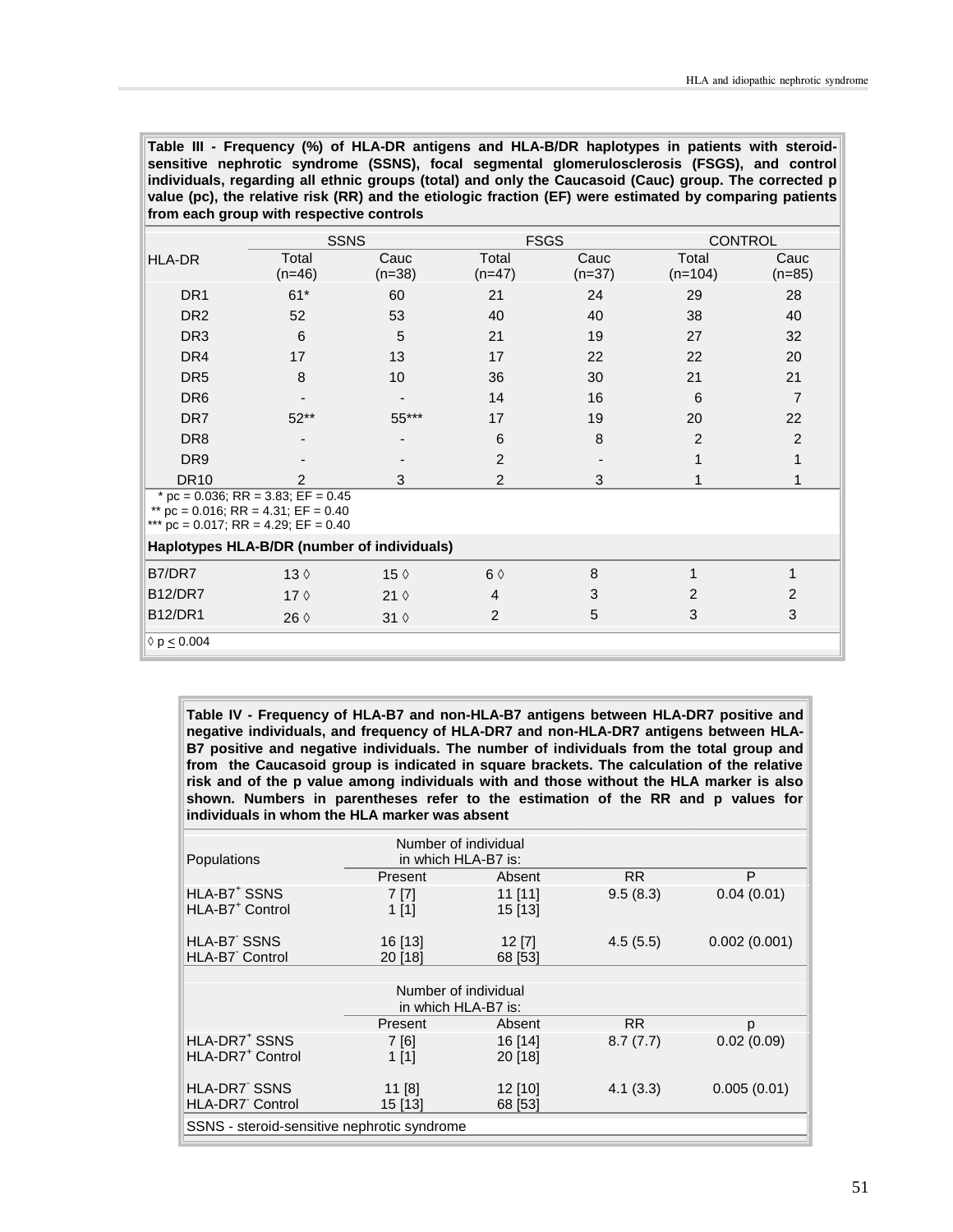**Table III - Frequency (%) of HLA-DR antigens and HLA-B/DR haplotypes in patients with steroidsensitive nephrotic syndrome (SSNS), focal segmental glomerulosclerosis (FSGS), and control individuals, regarding all ethnic groups (total) and only the Caucasoid (Cauc) group. The corrected p value (pc), the relative risk (RR) and the etiologic fraction (EF) were estimated by comparing patients from each group with respective controls**

|                                                                                                                                   | <b>SSNS</b>       |                  |                   | <b>FSGS</b>      | <b>CONTROL</b>     |                  |
|-----------------------------------------------------------------------------------------------------------------------------------|-------------------|------------------|-------------------|------------------|--------------------|------------------|
| <b>HLA-DR</b>                                                                                                                     | Total<br>$(n=46)$ | Cauc<br>$(n=38)$ | Total<br>$(n=47)$ | Cauc<br>$(n=37)$ | Total<br>$(n=104)$ | Cauc<br>$(n=85)$ |
| DR <sub>1</sub>                                                                                                                   | $61*$             | 60               | 21                | 24               | 29                 | 28               |
| DR <sub>2</sub>                                                                                                                   | 52                | 53               | 40                | 40               | 38                 | 40               |
| DR <sub>3</sub>                                                                                                                   | 6                 | 5                | 21                | 19               | 27                 | 32               |
| DR <sub>4</sub>                                                                                                                   | 17                | 13               | 17                | 22               | 22                 | 20               |
| DR <sub>5</sub>                                                                                                                   | 8                 | 10 <sup>1</sup>  | 36                | 30               | 21                 | 21               |
| DR <sub>6</sub>                                                                                                                   |                   |                  | 14                | 16               | 6                  | $\overline{7}$   |
| DR7                                                                                                                               | $52**$            | 55***            | 17                | 19               | 20                 | 22               |
| DR <sub>8</sub>                                                                                                                   |                   |                  | 6                 | 8                | $\overline{2}$     | $\overline{2}$   |
| DR <sub>9</sub>                                                                                                                   |                   |                  | $\overline{2}$    |                  |                    | 1                |
| <b>DR10</b>                                                                                                                       | 2                 | 3                | $\overline{2}$    | 3                |                    | 1                |
| * pc = $0.036$ ; RR = $3.83$ ; EF = $0.45$<br>** $pc = 0.016$ ; RR = 4.31; EF = 0.40<br>*** pc = $0.017$ ; RR = 4.29; EF = $0.40$ |                   |                  |                   |                  |                    |                  |
| Haplotypes HLA-B/DR (number of individuals)                                                                                       |                   |                  |                   |                  |                    |                  |
| B7/DR7                                                                                                                            | $13 \Diamond$     | 15 $\Diamond$    | $6 \Diamond$      | 8                | 1                  | 1                |
| <b>B12/DR7</b>                                                                                                                    | 17 $\diamond$     | $21 \Diamond$    | $\overline{4}$    | 3                | 2                  | 2                |
| <b>B12/DR1</b>                                                                                                                    | 26 $\Diamond$     | $31 \Diamond$    | $\overline{2}$    | 5                | 3                  | 3                |
| $\lozenge$ p < 0.004                                                                                                              |                   |                  |                   |                  |                    |                  |

**Table IV - Frequency of HLA-B7 and non-HLA-B7 antigens between HLA-DR7 positive and negative individuals, and frequency of HLA-DR7 and non-HLA-DR7 antigens between HLA-B7 positive and negative individuals. The number of individuals from the total group and from the Caucasoid group is indicated in square brackets. The calculation of the relative risk and of the p value among individuals with and those without the HLA marker is also shown. Numbers in parentheses refer to the estimation of the RR and p values for individuals in whom the HLA marker was absent**

| Populations                                             | Number of individual<br>in which HLA-B7 is: |                      |          |              |  |
|---------------------------------------------------------|---------------------------------------------|----------------------|----------|--------------|--|
|                                                         | Present                                     | Absent               | RR.      | P            |  |
| HLA-B7 <sup>+</sup> SSNS<br>HLA-B7 <sup>+</sup> Control | 7 [7]<br>1[1]                               | 11 [11]<br>15 [13]   | 9.5(8.3) | 0.04(0.01)   |  |
| HLA-B7 SSNS                                             | 16 [13]                                     | $12$ [7]             | 4.5(5.5) | 0.002(0.001) |  |
| HLA-B7 Control                                          | 20 [18]                                     | 68 [53]              |          |              |  |
|                                                         |                                             |                      |          |              |  |
|                                                         |                                             |                      |          |              |  |
|                                                         | Present                                     | Absent               | RR.      | p            |  |
| HLA-DR7 <sup>+</sup> SSNS                               | 7 [6]                                       | 16 [14]              | 8.7(7.7) | 0.02(0.09)   |  |
| HLA-DR7 <sup>+</sup> Control                            | $1$ [1]                                     | 20 [18]              |          |              |  |
| <b>HLA-DR7 SSNS</b><br><b>HLA-DR7</b> Control           | $11$ [8]<br>15 [13]                         | $12$ [10]<br>68 [53] | 4.1(3.3) | 0.005(0.01)  |  |
| SSNS - steroid-sensitive nephrotic syndrome             |                                             |                      |          |              |  |
|                                                         |                                             |                      |          |              |  |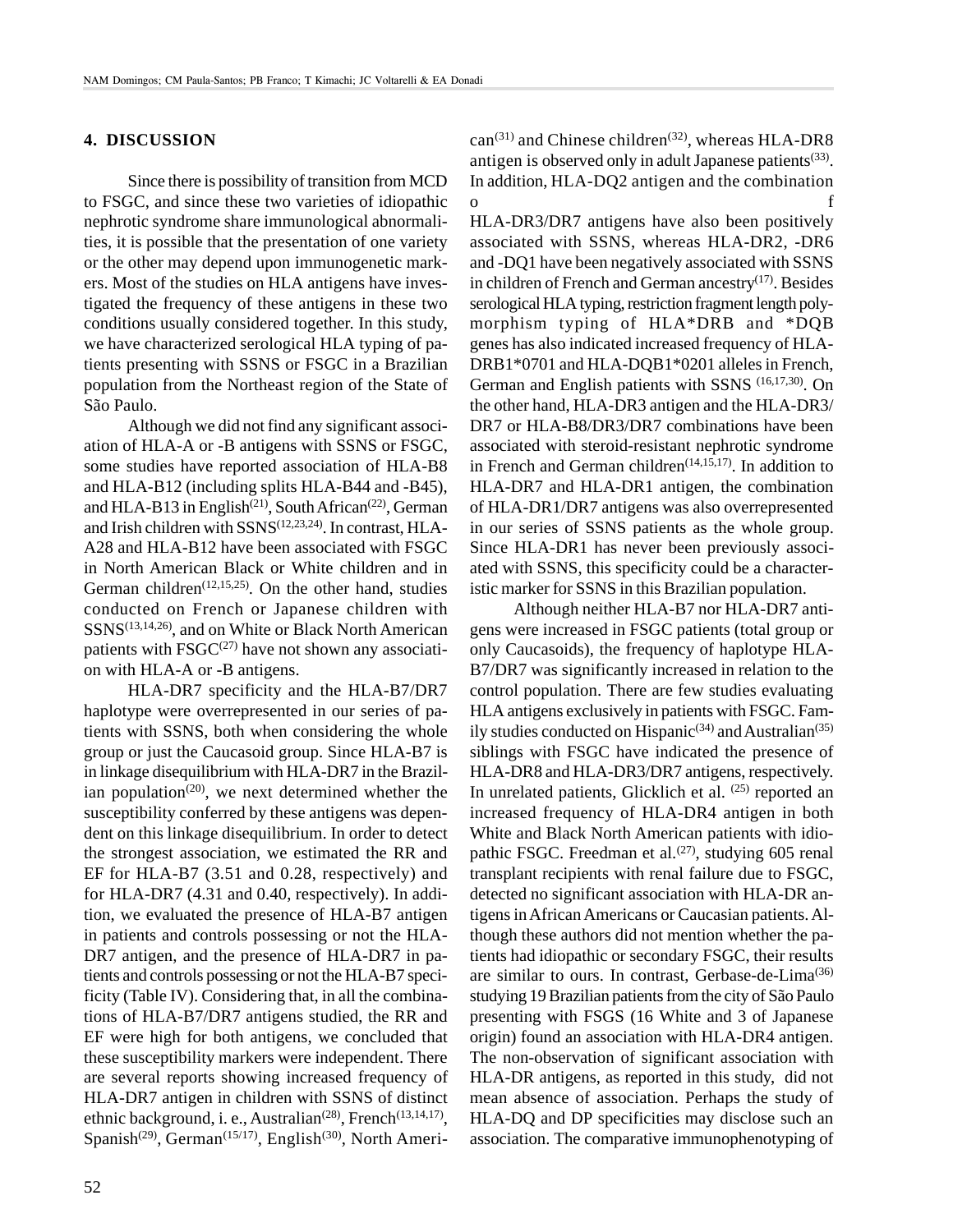## **4. DISCUSSION**

Since there is possibility of transition from MCD to FSGC, and since these two varieties of idiopathic nephrotic syndrome share immunological abnormalities, it is possible that the presentation of one variety or the other may depend upon immunogenetic markers. Most of the studies on HLA antigens have investigated the frequency of these antigens in these two conditions usually considered together. In this study, we have characterized serological HLA typing of patients presenting with SSNS or FSGC in a Brazilian population from the Northeast region of the State of São Paulo.

Although we did not find any significant association of HLA-A or -B antigens with SSNS or FSGC, some studies have reported association of HLA-B8 and HLA-B12 (including splits HLA-B44 and -B45), and HLA-B13 in English<sup>(21)</sup>, South African<sup>(22)</sup>, German and Irish children with SSNS(12,23,24). In contrast, HLA-A28 and HLA-B12 have been associated with FSGC in North American Black or White children and in German children<sup> $(12,15,25)$ </sup>. On the other hand, studies conducted on French or Japanese children with SSNS(13,14,26), and on White or Black North American patients with  $FSGC^{(27)}$  have not shown any association with HLA-A or -B antigens.

HLA-DR7 specificity and the HLA-B7/DR7 haplotype were overrepresented in our series of patients with SSNS, both when considering the whole group or just the Caucasoid group. Since HLA-B7 is in linkage disequilibrium with HLA-DR7 in the Brazilian population<sup> $(20)$ </sup>, we next determined whether the susceptibility conferred by these antigens was dependent on this linkage disequilibrium. In order to detect the strongest association, we estimated the RR and EF for HLA-B7 (3.51 and 0.28, respectively) and for HLA-DR7 (4.31 and 0.40, respectively). In addition, we evaluated the presence of HLA-B7 antigen in patients and controls possessing or not the HLA-DR7 antigen, and the presence of HLA-DR7 in patients and controls possessing or not the HLA-B7 specificity (Table IV). Considering that, in all the combinations of HLA-B7/DR7 antigens studied, the RR and EF were high for both antigens, we concluded that these susceptibility markers were independent. There are several reports showing increased frequency of HLA-DR7 antigen in children with SSNS of distinct ethnic background, i. e., Australian<sup> $(28)$ </sup>, French<sup> $(13,14,17)$ </sup>, Spanish<sup>(29)</sup>, German<sup>(15/17)</sup>, English<sup>(30)</sup>, North American<sup>(31)</sup> and Chinese children<sup>(32)</sup>, whereas HLA-DR8 antigen is observed only in adult Japanese patients<sup> $(33)$ </sup>. In addition, HLA-DQ2 antigen and the combination o f

HLA-DR3/DR7 antigens have also been positively associated with SSNS, whereas HLA-DR2, -DR6 and -DQ1 have been negatively associated with SSNS in children of French and German ancestry $(17)$ . Besides serological HLA typing, restriction fragment length polymorphism typing of HLA\*DRB and \*DQB genes has also indicated increased frequency of HLA-DRB1\*0701 and HLA-DOB1\*0201 alleles in French, German and English patients with SSNS (16,17,30). On the other hand, HLA-DR3 antigen and the HLA-DR3/ DR7 or HLA-B8/DR3/DR7 combinations have been associated with steroid-resistant nephrotic syndrome in French and German children<sup> $(14,15,17)$ </sup>. In addition to HLA-DR7 and HLA-DR1 antigen, the combination of HLA-DR1/DR7 antigens was also overrepresented in our series of SSNS patients as the whole group. Since HLA-DR1 has never been previously associated with SSNS, this specificity could be a characteristic marker for SSNS in this Brazilian population.

Although neither HLA-B7 nor HLA-DR7 antigens were increased in FSGC patients (total group or only Caucasoids), the frequency of haplotype HLA-B7/DR7 was significantly increased in relation to the control population. There are few studies evaluating HLA antigens exclusively in patients with FSGC. Family studies conducted on Hispanic<sup>(34)</sup> and Australian<sup>(35)</sup> siblings with FSGC have indicated the presence of HLA-DR8 and HLA-DR3/DR7 antigens, respectively. In unrelated patients, Glicklich et al.  $(25)$  reported an increased frequency of HLA-DR4 antigen in both White and Black North American patients with idiopathic FSGC. Freedman et al.<sup>(27)</sup>, studying 605 renal transplant recipients with renal failure due to FSGC, detected no significant association with HLA-DR antigens in African Americans or Caucasian patients. Although these authors did not mention whether the patients had idiopathic or secondary FSGC, their results are similar to ours. In contrast, Gerbase-de-Lima(36) studying 19 Brazilian patients from the city of São Paulo presenting with FSGS (16 White and 3 of Japanese origin) found an association with HLA-DR4 antigen. The non-observation of significant association with HLA-DR antigens, as reported in this study, did not mean absence of association. Perhaps the study of HLA-DQ and DP specificities may disclose such an association. The comparative immunophenotyping of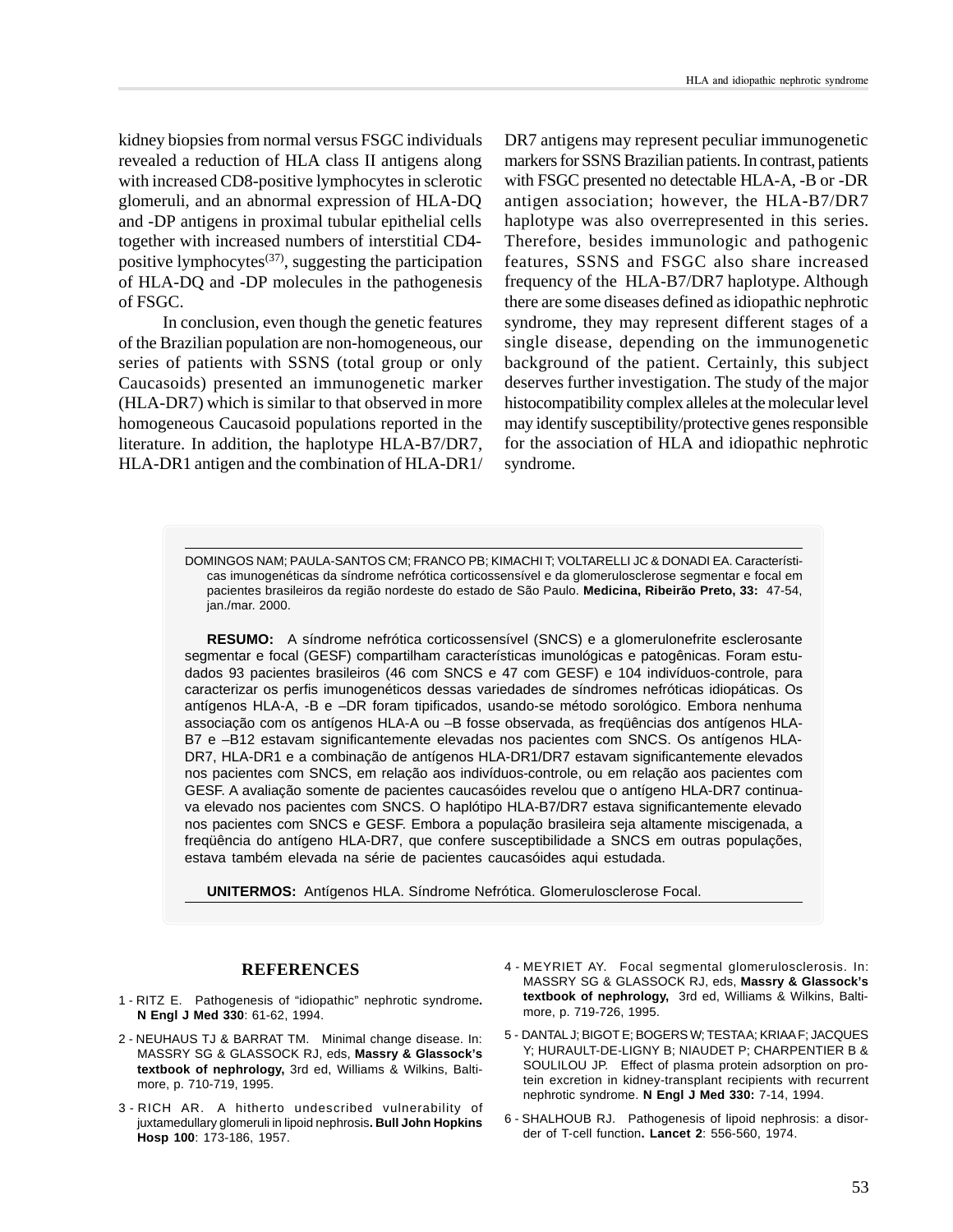kidney biopsies from normal versus FSGC individuals revealed a reduction of HLA class II antigens along with increased CD8-positive lymphocytes in sclerotic glomeruli, and an abnormal expression of HLA-DQ and -DP antigens in proximal tubular epithelial cells together with increased numbers of interstitial CD4 positive lymphocytes<sup> $(37)$ </sup>, suggesting the participation of HLA-DQ and -DP molecules in the pathogenesis of FSGC.

In conclusion, even though the genetic features of the Brazilian population are non-homogeneous, our series of patients with SSNS (total group or only Caucasoids) presented an immunogenetic marker (HLA-DR7) which is similar to that observed in more homogeneous Caucasoid populations reported in the literature. In addition, the haplotype HLA-B7/DR7, HLA-DR1 antigen and the combination of HLA-DR1/ DR7 antigens may represent peculiar immunogenetic markers for SSNS Brazilian patients. In contrast, patients with FSGC presented no detectable HLA-A, -B or -DR antigen association; however, the HLA-B7/DR7 haplotype was also overrepresented in this series. Therefore, besides immunologic and pathogenic features, SSNS and FSGC also share increased frequency of the HLA-B7/DR7 haplotype. Although there are some diseases defined as idiopathic nephrotic syndrome, they may represent different stages of a single disease, depending on the immunogenetic background of the patient. Certainly, this subject deserves further investigation. The study of the major histocompatibility complex alleles at the molecular level may identify susceptibility/protective genes responsible for the association of HLA and idiopathic nephrotic syndrome.

DOMINGOS NAM; PAULA-SANTOS CM; FRANCO PB; KIMACHI T; VOLTARELLI JC & DONADI EA. Características imunogenéticas da síndrome nefrótica corticossensível e da glomerulosclerose segmentar e focal em pacientes brasileiros da região nordeste do estado de São Paulo. **Medicina, Ribeirão Preto, 33:** 47-54, jan./mar. 2000.

**RESUMO:** A síndrome nefrótica corticossensível (SNCS) e a glomerulonefrite esclerosante segmentar e focal (GESF) compartilham características imunológicas e patogênicas. Foram estudados 93 pacientes brasileiros (46 com SNCS e 47 com GESF) e 104 indivíduos-controle, para caracterizar os perfis imunogenéticos dessas variedades de síndromes nefróticas idiopáticas. Os antígenos HLA-A, -B e –DR foram tipificados, usando-se método sorológico. Embora nenhuma associação com os antígenos HLA-A ou –B fosse observada, as freqüências dos antígenos HLA-B7 e –B12 estavam significantemente elevadas nos pacientes com SNCS. Os antígenos HLA-DR7, HLA-DR1 e a combinação de antígenos HLA-DR1/DR7 estavam significantemente elevados nos pacientes com SNCS, em relação aos indivíduos-controle, ou em relação aos pacientes com GESF. A avaliação somente de pacientes caucasóides revelou que o antígeno HLA-DR7 continuava elevado nos pacientes com SNCS. O haplótipo HLA-B7/DR7 estava significantemente elevado nos pacientes com SNCS e GESF. Embora a população brasileira seja altamente miscigenada, a freqüência do antígeno HLA-DR7, que confere susceptibilidade a SNCS em outras populações, estava também elevada na série de pacientes caucasóides aqui estudada.

**UNITERMOS:** Antígenos HLA. Síndrome Nefrótica. Glomerulosclerose Focal.

## **REFERENCES**

- 1 RITZ E. Pathogenesis of "idiopathic" nephrotic syndrome**. N Engl J Med 330**: 61-62, 1994.
- 2 NEUHAUS TJ & BARRAT TM. Minimal change disease. In: MASSRY SG & GLASSOCK RJ, eds, **Massry & Glassock's textbook of nephrology,** 3rd ed, Williams & Wilkins, Baltimore, p. 710-719, 1995.
- 3 RICH AR. A hitherto undescribed vulnerability of juxtamedullary glomeruli in lipoid nephrosis**. Bull John Hopkins Hosp 100**: 173-186, 1957.
- 4 MEYRIET AY. Focal segmental glomerulosclerosis. In: MASSRY SG & GLASSOCK RJ, eds, **Massry & Glassock's textbook of nephrology,** 3rd ed, Williams & Wilkins, Baltimore, p. 719-726, 1995.
- 5 DANTAL J; BIGOT E; BOGERS W; TESTA A; KRIAA F; JACQUES Y; HURAULT-DE-LIGNY B; NIAUDET P; CHARPENTIER B & SOULILOU JP. Effect of plasma protein adsorption on protein excretion in kidney-transplant recipients with recurrent nephrotic syndrome. **N Engl J Med 330:** 7-14, 1994.
- 6 SHALHOUB RJ. Pathogenesis of lipoid nephrosis: a disorder of T-cell function**. Lancet 2**: 556-560, 1974.